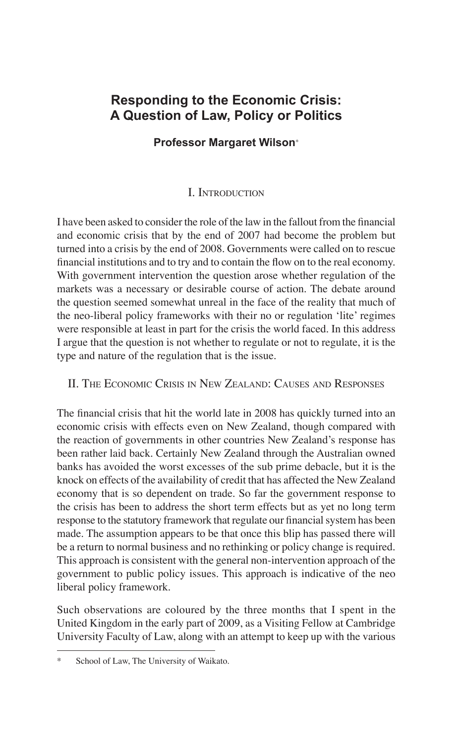## **Responding to the Economic Crisis: A Question of Law, Policy or Politics**

**Professor Margaret Wilson**\*

## I. Introduction

I have been asked to consider the role of the law in the fallout from the financial and economic crisis that by the end of 2007 had become the problem but turned into a crisis by the end of 2008. Governments were called on to rescue financial institutions and to try and to contain the flow on to the real economy. With government intervention the question arose whether regulation of the markets was a necessary or desirable course of action. The debate around the question seemed somewhat unreal in the face of the reality that much of the neo-liberal policy frameworks with their no or regulation 'lite' regimes were responsible at least in part for the crisis the world faced. In this address I argue that the question is not whether to regulate or not to regulate, it is the type and nature of the regulation that is the issue.

II. The Economic Crisis in New Zealand: Causes and Responses

The financial crisis that hit the world late in 2008 has quickly turned into an economic crisis with effects even on New Zealand, though compared with the reaction of governments in other countries New Zealand's response has been rather laid back. Certainly New Zealand through the Australian owned banks has avoided the worst excesses of the sub prime debacle, but it is the knock on effects of the availability of credit that has affected the New Zealand economy that is so dependent on trade. So far the government response to the crisis has been to address the short term effects but as yet no long term response to the statutory framework that regulate our financial system has been made. The assumption appears to be that once this blip has passed there will be a return to normal business and no rethinking or policy change is required. This approach is consistent with the general non-intervention approach of the government to public policy issues. This approach is indicative of the neo liberal policy framework.

Such observations are coloured by the three months that I spent in the United Kingdom in the early part of 2009, as a Visiting Fellow at Cambridge University Faculty of Law, along with an attempt to keep up with the various

School of Law, The University of Waikato.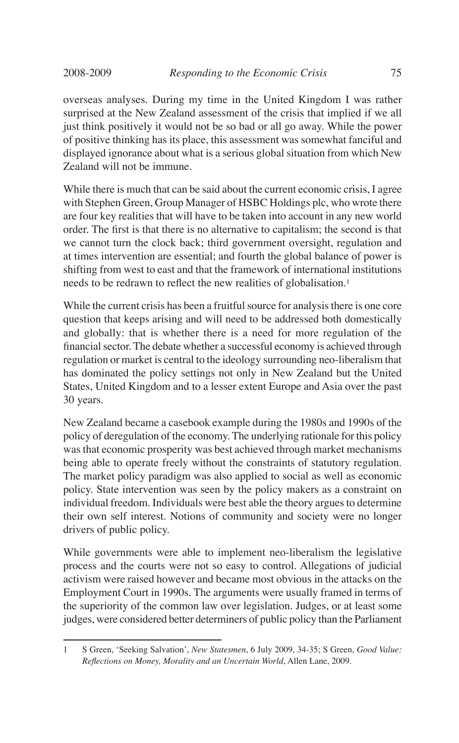overseas analyses. During my time in the United Kingdom I was rather surprised at the New Zealand assessment of the crisis that implied if we all just think positively it would not be so bad or all go away. While the power of positive thinking has its place, this assessment was somewhat fanciful and displayed ignorance about what is a serious global situation from which New Zealand will not be immune.

While there is much that can be said about the current economic crisis, I agree with Stephen Green, Group Manager of HSBC Holdings plc, who wrote there are four key realities that will have to be taken into account in any new world order. The first is that there is no alternative to capitalism; the second is that we cannot turn the clock back; third government oversight, regulation and at times intervention are essential; and fourth the global balance of power is shifting from west to east and that the framework of international institutions needs to be redrawn to reflect the new realities of globalisation.<sup>1</sup>

While the current crisis has been a fruitful source for analysis there is one core question that keeps arising and will need to be addressed both domestically and globally: that is whether there is a need for more regulation of the financial sector. The debate whether a successful economy is achieved through regulation or market is central to the ideology surrounding neo-liberalism that has dominated the policy settings not only in New Zealand but the United States, United Kingdom and to a lesser extent Europe and Asia over the past 30 years.

New Zealand became a casebook example during the 1980s and 1990s of the policy of deregulation of the economy. The underlying rationale for this policy was that economic prosperity was best achieved through market mechanisms being able to operate freely without the constraints of statutory regulation. The market policy paradigm was also applied to social as well as economic policy. State intervention was seen by the policy makers as a constraint on individual freedom. Individuals were best able the theory argues to determine their own self interest. Notions of community and society were no longer drivers of public policy.

While governments were able to implement neo-liberalism the legislative process and the courts were not so easy to control. Allegations of judicial activism were raised however and became most obvious in the attacks on the Employment Court in 1990s. The arguments were usually framed in terms of the superiority of the common law over legislation. Judges, or at least some judges, were considered better determiners of public policy than the Parliament

<sup>1</sup> S Green, 'Seeking Salvation', *New Statesmen*, 6 July 2009, 34-35; S Green, *Good Value: Reflections on Money, Morality and an Uncertain World*, Allen Lane, 2009.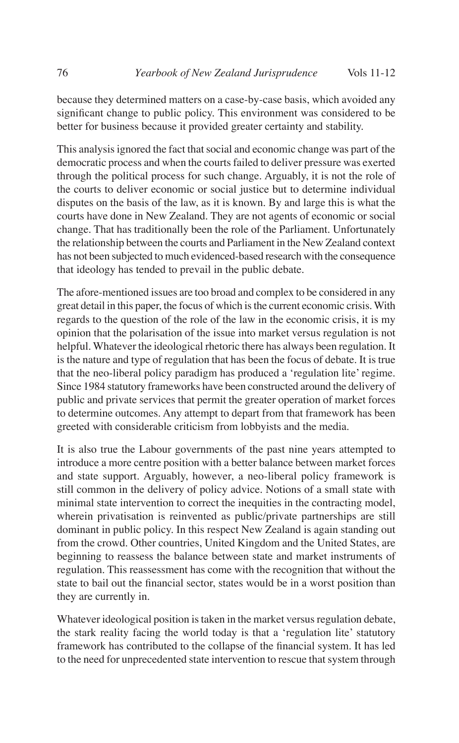because they determined matters on a case-by-case basis, which avoided any significant change to public policy. This environment was considered to be better for business because it provided greater certainty and stability.

This analysis ignored the fact that social and economic change was part of the democratic process and when the courts failed to deliver pressure was exerted through the political process for such change. Arguably, it is not the role of the courts to deliver economic or social justice but to determine individual disputes on the basis of the law, as it is known. By and large this is what the courts have done in New Zealand. They are not agents of economic or social change. That has traditionally been the role of the Parliament. Unfortunately the relationship between the courts and Parliament in the New Zealand context has not been subjected to much evidenced-based research with the consequence that ideology has tended to prevail in the public debate.

The afore-mentioned issues are too broad and complex to be considered in any great detail in this paper, the focus of which is the current economic crisis. With regards to the question of the role of the law in the economic crisis, it is my opinion that the polarisation of the issue into market versus regulation is not helpful. Whatever the ideological rhetoric there has always been regulation. It is the nature and type of regulation that has been the focus of debate. It is true that the neo-liberal policy paradigm has produced a 'regulation lite' regime. Since 1984 statutory frameworks have been constructed around the delivery of public and private services that permit the greater operation of market forces to determine outcomes. Any attempt to depart from that framework has been greeted with considerable criticism from lobbyists and the media.

It is also true the Labour governments of the past nine years attempted to introduce a more centre position with a better balance between market forces and state support. Arguably, however, a neo-liberal policy framework is still common in the delivery of policy advice. Notions of a small state with minimal state intervention to correct the inequities in the contracting model, wherein privatisation is reinvented as public/private partnerships are still dominant in public policy. In this respect New Zealand is again standing out from the crowd. Other countries, United Kingdom and the United States, are beginning to reassess the balance between state and market instruments of regulation. This reassessment has come with the recognition that without the state to bail out the financial sector, states would be in a worst position than they are currently in.

Whatever ideological position is taken in the market versus regulation debate, the stark reality facing the world today is that a 'regulation lite' statutory framework has contributed to the collapse of the financial system. It has led to the need for unprecedented state intervention to rescue that system through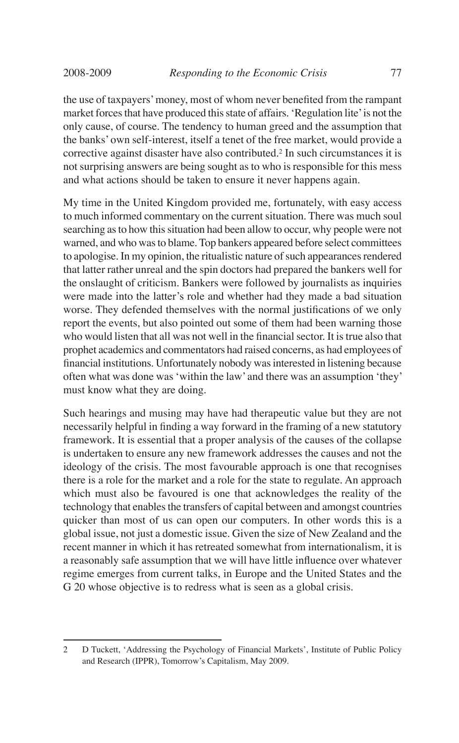the use of taxpayers' money, most of whom never benefited from the rampant market forces that have produced this state of affairs. 'Regulation lite' is not the only cause, of course. The tendency to human greed and the assumption that the banks' own self-interest, itself a tenet of the free market, would provide a corrective against disaster have also contributed.2 In such circumstances it is not surprising answers are being sought as to who is responsible for this mess and what actions should be taken to ensure it never happens again.

My time in the United Kingdom provided me, fortunately, with easy access to much informed commentary on the current situation. There was much soul searching as to how this situation had been allow to occur, why people were not warned, and who was to blame. Top bankers appeared before select committees to apologise. In my opinion, the ritualistic nature of such appearances rendered that latter rather unreal and the spin doctors had prepared the bankers well for the onslaught of criticism. Bankers were followed by journalists as inquiries were made into the latter's role and whether had they made a bad situation worse. They defended themselves with the normal justifications of we only report the events, but also pointed out some of them had been warning those who would listen that all was not well in the financial sector. It is true also that prophet academics and commentators had raised concerns, as had employees of financial institutions. Unfortunately nobody was interested in listening because often what was done was 'within the law' and there was an assumption 'they' must know what they are doing.

Such hearings and musing may have had therapeutic value but they are not necessarily helpful in finding a way forward in the framing of a new statutory framework. It is essential that a proper analysis of the causes of the collapse is undertaken to ensure any new framework addresses the causes and not the ideology of the crisis. The most favourable approach is one that recognises there is a role for the market and a role for the state to regulate. An approach which must also be favoured is one that acknowledges the reality of the technology that enables the transfers of capital between and amongst countries quicker than most of us can open our computers. In other words this is a global issue, not just a domestic issue. Given the size of New Zealand and the recent manner in which it has retreated somewhat from internationalism, it is a reasonably safe assumption that we will have little influence over whatever regime emerges from current talks, in Europe and the United States and the G 20 whose objective is to redress what is seen as a global crisis.

<sup>2</sup> D Tuckett, 'Addressing the Psychology of Financial Markets', Institute of Public Policy and Research (IPPR), Tomorrow's Capitalism, May 2009.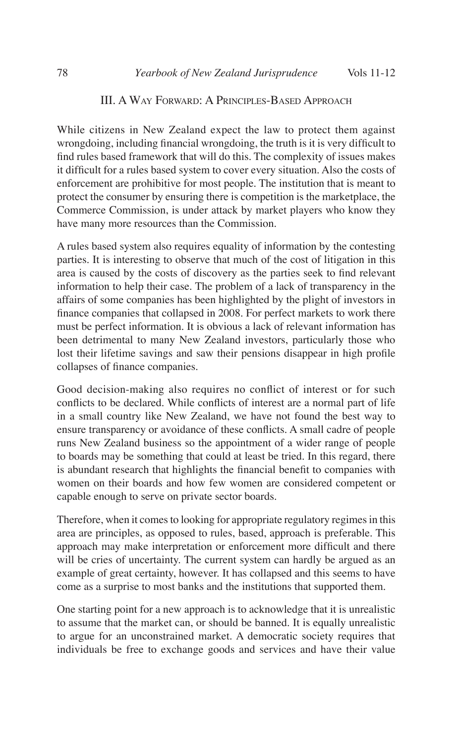While citizens in New Zealand expect the law to protect them against wrongdoing, including financial wrongdoing, the truth is it is very difficult to find rules based framework that will do this. The complexity of issues makes it difficult for a rules based system to cover every situation. Also the costs of enforcement are prohibitive for most people. The institution that is meant to protect the consumer by ensuring there is competition is the marketplace, the Commerce Commission, is under attack by market players who know they have many more resources than the Commission.

A rules based system also requires equality of information by the contesting parties. It is interesting to observe that much of the cost of litigation in this area is caused by the costs of discovery as the parties seek to find relevant information to help their case. The problem of a lack of transparency in the affairs of some companies has been highlighted by the plight of investors in finance companies that collapsed in 2008. For perfect markets to work there must be perfect information. It is obvious a lack of relevant information has been detrimental to many New Zealand investors, particularly those who lost their lifetime savings and saw their pensions disappear in high profile collapses of finance companies.

Good decision-making also requires no conflict of interest or for such conflicts to be declared. While conflicts of interest are a normal part of life in a small country like New Zealand, we have not found the best way to ensure transparency or avoidance of these conflicts. A small cadre of people runs New Zealand business so the appointment of a wider range of people to boards may be something that could at least be tried. In this regard, there is abundant research that highlights the financial benefit to companies with women on their boards and how few women are considered competent or capable enough to serve on private sector boards.

Therefore, when it comes to looking for appropriate regulatory regimes in this area are principles, as opposed to rules, based, approach is preferable. This approach may make interpretation or enforcement more difficult and there will be cries of uncertainty. The current system can hardly be argued as an example of great certainty, however. It has collapsed and this seems to have come as a surprise to most banks and the institutions that supported them.

One starting point for a new approach is to acknowledge that it is unrealistic to assume that the market can, or should be banned. It is equally unrealistic to argue for an unconstrained market. A democratic society requires that individuals be free to exchange goods and services and have their value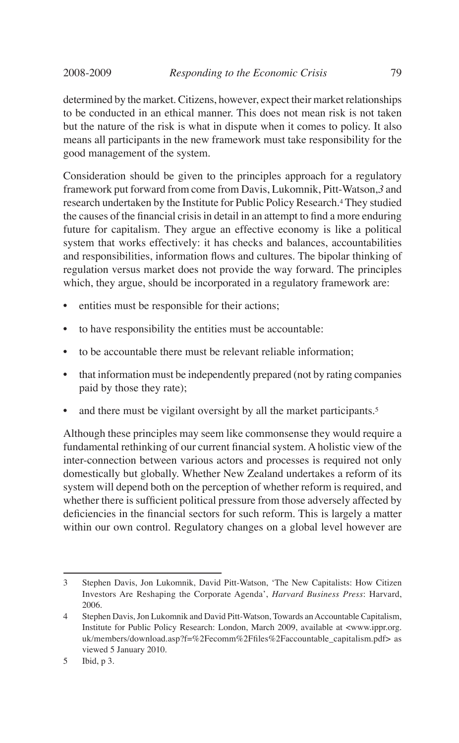determined by the market. Citizens, however, expect their market relationships to be conducted in an ethical manner. This does not mean risk is not taken but the nature of the risk is what in dispute when it comes to policy. It also means all participants in the new framework must take responsibility for the good management of the system.

Consideration should be given to the principles approach for a regulatory framework put forward from come from Davis, Lukomnik, Pitt-Watson,*3* and research undertaken by the Institute for Public Policy Research.4 They studied the causes of the financial crisis in detail in an attempt to find a more enduring future for capitalism. They argue an effective economy is like a political system that works effectively: it has checks and balances, accountabilities and responsibilities, information flows and cultures. The bipolar thinking of regulation versus market does not provide the way forward. The principles which, they argue, should be incorporated in a regulatory framework are:

- entities must be responsible for their actions;
- to have responsibility the entities must be accountable:
- to be accountable there must be relevant reliable information;
- that information must be independently prepared (not by rating companies paid by those they rate);
- and there must be vigilant oversight by all the market participants.<sup>5</sup>

Although these principles may seem like commonsense they would require a fundamental rethinking of our current financial system. A holistic view of the inter-connection between various actors and processes is required not only domestically but globally. Whether New Zealand undertakes a reform of its system will depend both on the perception of whether reform is required, and whether there is sufficient political pressure from those adversely affected by deficiencies in the financial sectors for such reform. This is largely a matter within our own control. Regulatory changes on a global level however are

<sup>3</sup> Stephen Davis, Jon Lukomnik, David Pitt-Watson, 'The New Capitalists: How Citizen Investors Are Reshaping the Corporate Agenda', *Harvard Business Press*: Harvard, 2006.

<sup>4</sup> Stephen Davis, Jon Lukomnik and David Pitt-Watson, Towards an Accountable Capitalism, Institute for Public Policy Research: London, March 2009, available at <www.ippr.org. uk/members/download.asp?f=%2Fecomm%2Ffiles%2Faccountable\_capitalism.pdf> as viewed 5 January 2010.

<sup>5</sup> Ibid, p 3.